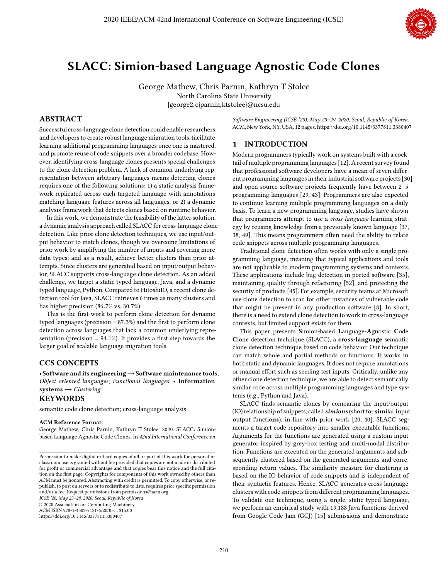

# SLACC: Simion-based Language Agnostic Code Clones

George Mathew, Chris Parnin, Kathryn T Stolee North Carolina State University {george2,cjparnin,ktstolee}@ncsu.edu

# ABSTRACT

Successful cross-language clone detection could enable researchers and developers to create robust language migration tools, facilitate learning additional programming languages once one is mastered, and promote reuse of code snippets over a broader codebase. However, identifying cross-language clones presents special challenges to the clone detection problem. A lack of common underlying representation between arbitrary languages means detecting clones requires one of the following solutions: 1) a static analysis framework replicated across each targeted language with annotations matching language features across all languages, or 2) a dynamic analysis framework that detects clones based on runtime behavior.

In this work, we demonstrate the feasibility of the latter solution, a dynamic analysis approach called SLACC for cross-language clone detection. Like prior clone detection techniques, we use input/output behavior to match clones, though we overcome limitations of prior work by amplifying the number of inputs and covering more data types; and as a result, achieve better clusters than prior attempts. Since clusters are generated based on input/output behavior, SLACC supports cross-language clone detection. As an added challenge, we target a static typed language, Java, and a dynamic typed language, Python. Compared to HitoshiIO, a recent clone detection tool for Java, SLACC retrieves 6 times as many clusters and has higher precision (86.7% vs. 30.7%).

This is the first work to perform clone detection for dynamic typed languages (precision  $= 87.3\%$ ) and the first to perform clone detection across languages that lack a common underlying representation (precision =  $94.1\%$ ). It provides a first step towards the larger goal of scalable language migration tools.

# CCS CONCEPTS

• Software and its engineering→Software maintenance tools; *Object oriented languages*; *Functional languages*; • Information systems → *Clustering*.

## KEYWORDS

semantic code clone detection; cross-language analysis

#### ACM Reference Format:

George Mathew, Chris Parnin, Kathryn T Stolee. 2020. SLACC: Simionbased Language Agnostic Code Clones. In *42nd International Conference on*

*ICSE '20, May 23–29, 2020, Seoul, Republic of Korea*

© 2020 Association for Computing Machinery.

ACM ISBN 978-1-4503-7121-6/20/05. . . \$15.00

*Software Engineering (ICSE '20), May 23–29, 2020, Seoul, Republic of Korea.* ACM, New York, NY, USA, 12 pages[. https://doi.org/10.1145/3377811.3380407](https://doi.org/10.1145/3377811.3380407)

# 1 INTRODUCTION

Modern programmers typically work on systems built with a cocktail of multiple programming languages [12]. A recent survey found that professional software developers have a mean of seven different programming languages in their industrial software projects [30] and open-source software projects frequently have between 2–5 programming languages [29, 43]. Programmers are also expected to continue learning multiple programming languages on a daily basis. To learn a new programming language, studies have shown that programmers attempt to use a *cross-language* learning strategy by reusing knowledge from a previously known language [37, 38, 49]. This means programmers often need the ability to relate code snippets across multiple programming languages.

Traditional clone detection often works with only a single programming language, meaning that typical applications and tools are not applicable to modern programming systems and contexts. These applications include bug detection in ported software [35], maintaining quality through refactoring [52], and protecting the security of products [45]. For example, security teams at Microsoft use clone detection to scan for other instances of vulnerable code that might be present in any production software [8]. In short, there is a need to extend clone detection to work in cross-language contexts, but limited support exists for them.

This paper presents Simion-based Language-Agnostic Code Clone detection technique (SLACC), a cross-language semantic clone detection technique based on code behavior. Our technique can match whole and partial methods or functions. It works in both static and dynamic languages. It does not require annotations or manual effort such as seeding test inputs. Critically, unlike any other clone detection technique, we are able to detect semantically similar code across multiple programming languages and type systems (e.g., Python and Java).

SLACC finds semantic clones by comparing the input/output (IO) relationship of snippets, called simions (short for similar input output functions), in line with prior work [20, 40]. SLACC segments a target code repository into smaller executable functions. Arguments for the functions are generated using a custom input generator inspired by grey-box testing and multi-modal distribution. Functions are executed on the generated arguments and subsequently clustered based on the generated arguments and corresponding return values. The similarity measure for clustering is based on the IO behavior of code snippets and is independent of their syntactic features. Hence, SLACC generates cross-language clusters with code snippets from different programming languages. To validate our technique, using a single, static typed language, we perform an empirical study with 19,188 Java functions derived from Google Code Jam (GCJ) [15] submissions and demonstrate

Permission to make digital or hard copies of all or part of this work for personal or classroom use is granted without fee provided that copies are not made or distributed for profit or commercial advantage and that copies bear this notice and the full citation on the first page. Copyrights for components of this work owned by others than ACM must be honored. Abstracting with credit is permitted. To copy otherwise, or republish, to post on servers or to redistribute to lists, requires prior specific permission and/or a fee. Request permissions from permissions@acm.org.

<https://doi.org/10.1145/3377811.3380407>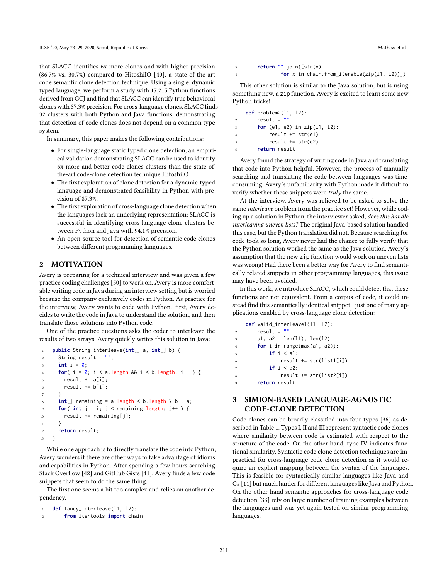that SLACC identifies 6x more clones and with higher precision (86.7% vs. 30.7%) compared to HitoshiIO [40], a state-of-the-art code semantic clone detection technique. Using a single, dynamic typed language, we perform a study with 17,215 Python functions derived from GCJ and find that SLACC can identify true behavioral clones with 87.3% precision. For cross-language clones, SLACC finds 32 clusters with both Python and Java functions, demonstrating that detection of code clones does not depend on a common type system.

In summary, this paper makes the following contributions:

- For single-language static typed clone detection, an empirical validation demonstrating SLACC can be used to identify 6x more and better code clones clusters than the state-ofthe-art code-clone detection technique HitoshiIO.
- $\bullet$  The first exploration of clone detection for a dynamic-typed language and demonstrated feasibility in Python with precision of 87.3%.
- $\bullet$  The first exploration of cross-language clone detection when the languages lack an underlying representation; SLACC is successful in identifying cross-language clone clusters between Python and Java with 94.1% precision.
- An open-source tool for detection of semantic code clones between different programming languages.

## 2 MOTIVATION

Avery is preparing for a technical interview and was given a few practice coding challenges [50] to work on. Avery is more comfortable writing code in Java during an interview setting but is worried because the company exclusively codes in Python. As practice for the interview, Avery wants to code with Python. First, Avery decides to write the code in Java to understand the solution, and then translate those solutions into Python code.

One of the practice questions asks the coder to interleave the results of two arrays. Avery quickly writes this solution in Java:

```
1 public String interleave(int[] a, int[] b) {
2 String result = ";
3 int i = 0;
f(x) = 0; i < a. length a, a \neq b. length; i + b {
s result += a[i];6 result += b[i];7 }
8 int[] remaining = a.length < b.length ? b : a;
\mathfrak{g} for( int \mathfrak{j} = \mathfrak{i}; \mathfrak{j} < \mathfrak{r} emaining. length; \mathfrak{j}++ ) {
10 result += remaining[j];
11 }
12 return result;
13 }
```
While one approach is to directly translate the code into Python, Avery wonders if there are other ways to take advantage of idioms and capabilities in Python. After spending a few hours searching Stack Overflow [42] and GitHub Gists [41], Avery finds a few code snippets that seem to do the same thing.

The first one seems a bit too complex and relies on another dependency.

```
def fancy_interleave(11, 12):
```

```
from itertools import chain
```

```
3 return "".join([str(x)
               4 for x in chain.from_iterable(zip(l1, l2))])
```
This other solution is similar to the Java solution, but is using something new, a zip function. Avery is excited to learn some new Python tricks!

```
1 def problem2(l1, l2):
2 result = "3 for (e1, e2) in zip(l1, l2):
4 result \pm str(e1)
          result += str(e2)6 return result
```
Avery found the strategy of writing code in Java and translating that code into Python helpful. However, the process of manually searching and translating the code between languages was timeconsuming. Avery's unfamiliarity with Python made it difficult to verify whether these snippets were *truly* the same.

At the interview, Avery was relieved to be asked to solve the same *interleave* problem from the practice set! However, while coding up a solution in Python, the interviewer asked, *does this handle interleaving uneven lists?* The original Java-based solution handled this case, but the Python translation did not. Because searching for code took so long, Avery never had the chance to fully verify that the Python solution worked the same as the Java solution. Avery's assumption that the new zip function would work on uneven lists was wrong! Had there been a better way for Avery to find semantically related snippets in other programming languages, this issue may have been avoided.

In this work, we introduce SLACC, which could detect that these functions are not equivalent. From a corpus of code, it could instead find this semantically identical snippet-just one of many applications enabled by cross-language clone detection:

```
def valid_interleave1(l1, l2):
2 result = "3 \text{ a1, a2 = len(11), len(12)}4 for i in range(max(a1, a2)):
            5 if i < a1:
                result += str(list1[i])7 if i < a2:
                8 result += str(list2[i])
        9 return result
```
# 3 SIMION-BASED LANGUAGE-AGNOSTIC CODE-CLONE DETECTION

Code clones can be broadly classified into four types [36] as described in Table 1. Types I, II and III represent syntactic code clones where similarity between code is estimated with respect to the structure of the code. On the other hand, type-IV indicates functional similarity. Syntactic code clone detection techniques are impractical for cross-language code clone detection as it would require an explicit mapping between the syntax of the languages. This is feasible for syntactically similar languages like Java and  $C#$  [11] but much harder for different languages like Java and Python. On the other hand semantic approaches for cross-language code detection [33] rely on large number of training examples between the languages and was yet again tested on similar programming languages.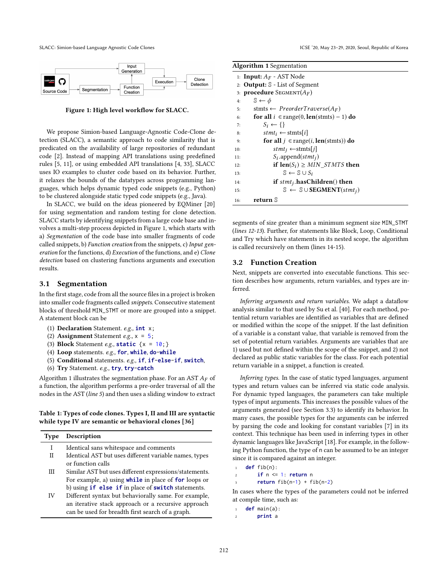SLACC: Simion-based Language Agnostic Code Clones **ICSE 120, May 23-29, 2020, Seoul, Republic of Korea** 



Figure 1: High level workflow for SLACC.

We propose Simion-based Language-Agnostic Code-Clone detection (SLACC), a semantic approach to code similarity that is predicated on the availability of large repositories of redundant code [2]. Instead of mapping API translations using predefined rules [5, 11], or using embedded API translations [4, 33], SLACC uses IO examples to cluster code based on its behavior. Further, it relaxes the bounds of the datatypes across programming languages, which helps dynamic typed code snippets (e.g., Python) to be clustered alongside static typed code snippets (e.g., Java).

In SLACC, we build on the ideas pioneered by EQMiner [20] for using segmentation and random testing for clone detection. SLACC starts by identifying snippets from a large code base and involves a multi-step process depicted in Figure 1, which starts with a) *Segmentation* of the code base into smaller fragments of code called snippets, b) *Function creation* from the snippets, c) *Input generation* for the functions, d) *Execution* of the functions, and e) *Clone detection* based on clustering functions arguments and execution results.

## 3.1 Segmentation

In the first stage, code from all the source files in a project is broken into smaller code fragments called *snippets*. Consecutive statement blocks of threshold MIN\_STMT or more are grouped into a snippet. A statement block can be

- (1) Declaration Statement. *e.g.,* **int** x;
- (2) Assignment Statement *e.g.,* x = 5;
- (3) Block Statement *e.g.,* **static** {x = 10;}
- (4) Loop statements. *e.g.,* **for**, **while**, **do**-**while**
- (5) Conditional statements. *e.g.,* **if**, **if**-**else**-**if**, **switch**,
- (6) Try Statement. *e.g.,* **try**, **try**-**catch**

Algorithm 1 illustrates the segmentation phase. For an AST  $A_F$  of a function, the algorithm performs a pre-order traversal of all the nodes in the AST (*line 5*) and then uses a sliding window to extract

### Table 1: Types of code clones. Types I, II and III are syntactic while type IV are semantic or behavioral clones [36]

|             | Description                                                      |
|-------------|------------------------------------------------------------------|
| <b>Type</b> |                                                                  |
| I           | Identical sans whitespace and comments                           |
| П           | Identical AST but uses different variable names, types           |
|             | or function calls                                                |
| Ш           | Similar AST but uses different expressions/statements.           |
|             | For example, a) using while in place of for loops or             |
|             | b) using <b>if else if</b> in place of <b>switch</b> statements. |
| IV          | Different syntax but behaviorally same. For example,             |
|             | an iterative stack approach or a recursive approach              |
|             | can be used for breadth first search of a graph.                 |

| <b>Algorithm 1</b> Segmentation                                            |  |  |  |  |
|----------------------------------------------------------------------------|--|--|--|--|
| 1: <b>Input:</b> $A_F$ - AST Node                                          |  |  |  |  |
| 2: <b>Output:</b> $\mathbb{S}$ - List of Segment                           |  |  |  |  |
| 3: <b>procedure</b> SEGMENT( $A_F$ )                                       |  |  |  |  |
| $\mathbb{S} \leftarrow \phi$<br>4:                                         |  |  |  |  |
| stmts $\leftarrow$ PreorderTraverse(A <sub>F</sub> )<br>5:                 |  |  |  |  |
| for all $i \in \text{range}(0, \text{len}(st m t s) - 1)$ do<br>6:         |  |  |  |  |
| $S_i \leftarrow \{\}$<br>7:                                                |  |  |  |  |
| $stmt_i \leftarrow$ stmts i <br>8:                                         |  |  |  |  |
| <b>for all</b> $i \in \text{range}(i, \text{len}(s \text{tmts}))$ do<br>9: |  |  |  |  |
| $stmt_j \leftarrow$ stmts[j]<br>10:                                        |  |  |  |  |
| $S_i$ .append(stmt <sub>i</sub> )<br>11:                                   |  |  |  |  |
| if $len(S_i) \ge MIN \quad STMTS$ then<br>12:                              |  |  |  |  |
| $\mathbb{S} \leftarrow \mathbb{S} \cup S_i$<br>13:                         |  |  |  |  |
| if $stmt_j$ .hasChildren() then<br>14:                                     |  |  |  |  |
| $\mathbb{S} \leftarrow \mathbb{S} \cup \text{SEGMENT}(stmt_i)$<br>15:      |  |  |  |  |
| return S<br>16:                                                            |  |  |  |  |

segments of size greater than a minimum segment size MIN\_STMT (*lines 12-13*). Further, for statements like Block, Loop, Conditional and Try which have statements in its nested scope, the algorithm is called recursively on them (lines 14-15).

#### 3.2 Function Creation

Next, snippets are converted into executable functions. This section describes how arguments, return variables, and types are inferred.

*Inferring arguments and return variables.* We adapt a dataflow analysis similar to that used by Su et al. [40]. For each method, potential return variables are identified as variables that are defined or modified within the scope of the snippet. If the last definition of a variable is a constant value, that variable is removed from the set of potential return variables. Arguments are variables that are 1) used but not defined within the scope of the snippet, and 2) not declared as public static variables for the class. For each potential return variable in a snippet, a function is created.

*Inferring types.* In the case of static typed languages, argument types and return values can be inferred via static code analysis. For dynamic typed languages, the parameters can take multiple types of input arguments. This increases the possible values of the arguments generated (see Section 3.3) to identify its behavior. In many cases, the possible types for the arguments can be inferred by parsing the code and looking for constant variables [7] in its context. This technique has been used in inferring types in other dynamic languages like JavaScript [18]. For example, in the following Python function, the type of n can be assumed to be an integer since it is compared against an integer.

```
1 def fib(n):
```

```
2 if n <= 1: return n
       3 return fib(n-1) + fib(n-2)
```
In cases where the types of the parameters could not be inferred at compile time, such as:

```
def main(a):
    2 print a
```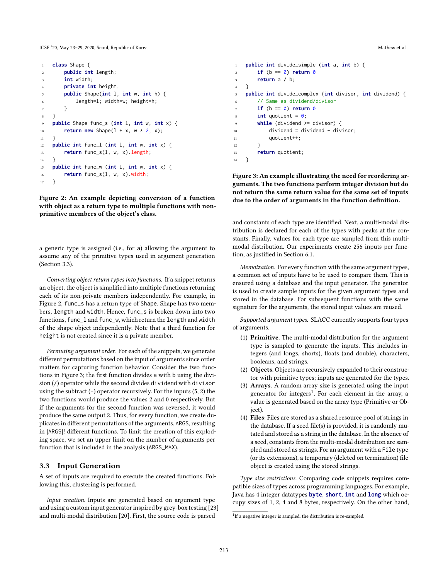ICSE '20, May 23-29, 2020, Seoul, Republic of Korea Mathew et al. and Security Assemblance of Mathew et al. and Mathew et al.

```
1 class Shape {
2 public int length;
3 int width;
       4 private int height;
5 public Shape(int l, int w, int h) {
6 length=l; width=w; height=h;
7 }
8 }
9 public Shape func_s (int l, int w, int x) {
10 return new Shape(1 + x, w * 2, x);
11 }
12 public int func_l (int l, int w, int x) {
13 return func_s(l, w, x).length;
14 }
15 public int func_w (int l, int w, int x) {
16 return func_s(l, w, x).width;
17 }
```
Figure 2: An example depicting conversion of a function with object as a return type to multiple functions with nonprimitive members of the object's class.

a generic type is assigned (i.e., for a) allowing the argument to assume any of the primitive types used in argument generation (Section 3.3).

*Converting object return types into functions.* If a snippet returns an object, the object is simplified into multiple functions returning each of its non-private members independently. For example, in Figure 2, func\_s has a return type of Shape. Shape has two members, length and width. Hence, func\_s is broken down into two functions, func\_l and func\_w, which return the length and width of the shape object independently. Note that a third function for height is not created since it is a private member.

*Permuting argument order.* For each of the snippets, we generate different permutations based on the input of arguments since order matters for capturing function behavior. Consider the two functions in Figure 3; the first function divides a with b using the division (/) operator while the second divides dividend with divisor using the subtract  $(-)$  operator recursively. For the inputs  $(5, 2)$  the two functions would produce the values 2 and 0 respectively. But if the arguments for the second function was reversed, it would produce the same output 2. Thus, for every function, we create duplicates in different permutations of the arguments, ARGS, resulting in |ARGS|! different functions. To limit the creation of this exploding space, we set an upper limit on the number of arguments per function that is included in the analysis (ARGS\_MAX).

## 3.3 Input Generation

A set of inputs are required to execute the created functions. Following this, clustering is performed.

*Input creation.* Inputs are generated based on argument type and using a custom input generator inspired by grey-box testing [23] and multi-modal distribution [20]. First, the source code is parsed

```
1 public int divide_simple (int a, int b) {
2 if (b == \theta) return \theta3 return a / b;
4 }
5 public int divide_complex (int divisor, int dividend) {
       // Same as dividend/divisor
\mathbf{r} if (b == 0) return 0
\sin t quotient = \theta;
       while (dividend >= divisor) {
10 dividend = dividend - divisor;
11 quotient++:
12 }
13 return quotient;
14 }
```
Figure 3: An example illustrating the need for reordering arguments. The two functions perform integer division but do not return the same return value for the same set of inputs due to the order of arguments in the function definition.

and constants of each type are identified. Next, a multi-modal distribution is declared for each of the types with peaks at the constants. Finally, values for each type are sampled from this multimodal distribution. Our experiments create 256 inputs per function, as justified in Section 6.1.

*Memoization.* For every function with the same argument types, a common set of inputs have to be used to compare them. This is ensured using a database and the input generator. The generator is used to create sample inputs for the given argument types and stored in the database. For subsequent functions with the same signature for the arguments, the stored input values are reused.

*Supported argument types.* SLACC currently supports four types of arguments.

- (1) Primitive. The multi-modal distribution for the argument type is sampled to generate the inputs. This includes integers (and longs, shorts), floats (and double), characters, booleans, and strings.
- (2) Objects. Objects are recursively expanded to their constructor with primitive types; inputs are generated for the types.
- (3) Arrays. A random array size is generated using the input generator for integers<sup>1</sup>. For each element in the array, a value is generated based on the array type (Primitive or Obiect).
- (4) Files: Files are stored as a shared resource pool of strings in the database. If a seed file(s) is provided, it is randomly mutated and stored as a string in the database. In the absence of a seed, constants from the multi-modal distribution are sampled and stored as strings. For an argument with a File type (or its extensions), a temporary (deleted on termination) file object is created using the stored strings.

*Type size restrictions.* Comparing code snippets requires compatible sizes of types across programming languages. For example, Java has 4 integer datatypes **byte**, **short**, **int** and **long** which occupy sizes of 1, 2, 4 and 8 bytes, respectively. On the other hand,

<sup>&</sup>lt;sup>1</sup>If a negative integer is sampled, the distribution is re-sampled.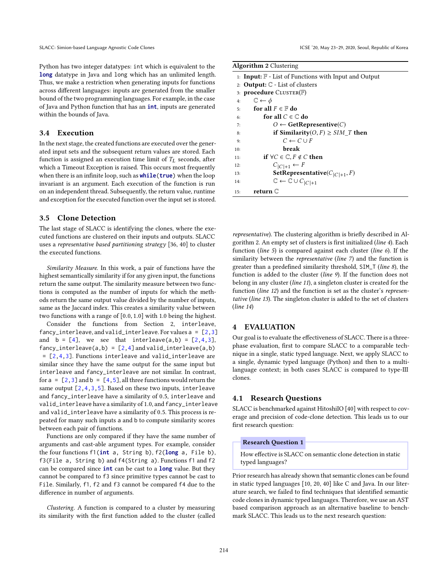Python has two integer datatypes: int which is equivalent to the **long** datatype in Java and long which has an unlimited length. Thus, we make a restriction when generating inputs for functions across different languages: inputs are generated from the smaller bound of the two programming languages. For example, in the case of Java and Python function that has an **int**, inputs are generated within the bounds of Java.

## 3.4 Execution

In the next stage, the created functions are executed over the generated input sets and the subsequent return values are stored. Each function is assigned an execution time limit of  $T_L$  seconds, after which a Timeout Exception is raised. This occurs most frequently when there is an infinite loop, such as **while**( $true$ ) when the loop invariant is an argument. Each execution of the function is run on an independent thread. Subsequently, the return value, runtime and exception for the executed function over the input set is stored.

## 3.5 Clone Detection

The last stage of SLACC is identifying the clones, where the executed functions are clustered on their inputs and outputs. SLACC uses a *representative based partitioning strategy* [36, 40] to cluster the executed functions.

*Similarity Measure.* In this work, a pair of functions have the highest semantically similarity if for any given input, the functions return the same output. The similarity measure between two functions is computed as the number of inputs for which the methods return the same output value divided by the number of inputs, same as the Jaccard index. This creates a similarity value between two functions with a range of [0.0, 1.0] with 1.0 being the highest.

Consider the functions from Section 2, interleave, fancy\_interleave, and valid\_interleave. For values  $a = [2,3]$ and  $b = [4]$ , we see that interleave(a,b) =  $[2,4,3]$ , fancy\_interleave(a,b) =  $[2,4]$  and valid\_interleave(a,b) = [2,4,3]. Functions interleave and valid\_interleave are similar since they have the same output for the same input but interleave and fancy\_interleave are not similar. In contrast, for  $a = [2, 3]$  and  $b = [4, 5]$ , all three functions would return the same output  $[2, 4, 3, 5]$ . Based on these two inputs, interleave and fancy\_interleave have a similarity of 0.5, interleave and valid interleave have a similarity of 1.0, and fancy interleave and valid\_interleave have a similarity of 0.5. This process is repeated for many such inputs a and b to compute similarity scores between each pair of functions.

Functions are only compared if they have the same number of arguments and cast-able argument types. For example, consider the four functions f1(**int** a, String b), f2(**long** a, File b), f3(File a, String b) and f4(String a). Functions f1 and f2 can be compared since **int** can be cast to a **long** value. But they cannot be compared to f3 since primitive types cannot be cast to File. Similarly, f1, f2 and f3 cannot be compared f4 due to the difference in number of arguments.

*Clustering.* A function is compared to a cluster by measuring its similarity with the first function added to the cluster (called

#### Algorithm 2 Clustering

|     | 1: <b>Input:</b> $\mathbb{F}$ - List of Functions with Input and Output |  |  |  |  |
|-----|-------------------------------------------------------------------------|--|--|--|--|
|     | 2: <b>Output:</b> $\mathbb{C}$ - List of clusters                       |  |  |  |  |
|     | 3: <b>procedure</b> $CLUSTER(F)$                                        |  |  |  |  |
| 4:  | $\mathbb{C} \leftarrow \phi$                                            |  |  |  |  |
|     | for all $F \in \mathbb{F}$ do<br>5:                                     |  |  |  |  |
| 6:  | for all $C \in \mathbb{C}$ do                                           |  |  |  |  |
| 7:  | $O \leftarrow$ GetRepresentive(C)                                       |  |  |  |  |
| 8:  | if Similarity(O, F) $\geq$ SIM T then                                   |  |  |  |  |
| 9:  | $C \leftarrow C \cup F$                                                 |  |  |  |  |
| 10: | break                                                                   |  |  |  |  |
| 11: | if $\forall C \in \mathbb{C}$ , $F \notin C$ then                       |  |  |  |  |
| 12: | $C_{ C +1} \leftarrow F$                                                |  |  |  |  |
| 13: | <b>SetRepresentative</b> ( $C_{ C +1}, F$ )                             |  |  |  |  |
| 14: | $\mathbb{C} \leftarrow \mathbb{C} \cup C_{ C +1}$                       |  |  |  |  |
| 15: | return C                                                                |  |  |  |  |

*representative*). The clustering algorithm is briefly described in Algorithm 2. An empty set of clusters is first initialized (*line 4*). Each function (*line 5*) is compared against each cluster (*line 6*). If the similarity between the *representative* (*line 7*) and the function is greater than a predefined similarity threshold, SIM\_T (line 8), the function is added to the cluster (*line 9*). If the function does not belong in any cluster (*line 11*), a singleton cluster is created for the function (*line 12*) and the function is set as the cluster's *representative* (*line 13*). The singleton cluster is added to the set of clusters (*line 14*)

## 4 EVALUATION

Our goal is to evaluate the effectiveness of SLACC. There is a threephase evaluation, first to compare SLACC to a comparable technique in a single, static typed language. Next, we apply SLACC to a single, dynamic typed language (Python) and then to a multilanguage context; in both cases SLACC is compared to type-III clones.

## 4.1 Research Questions

SLACC is benchmarked against HitoshiIO [40] with respect to coverage and precision of code-clone detection. This leads us to our first research question:

#### Research Question 1

How effective is SLACC on semantic clone detection in static typed languages?

Prior research has already shown that semantic clones can be found in static typed languages [10, 20, 40] like C and Java. In our literature search, we failed to find techniques that identified semantic code clones in dynamic typed languages. Therefore, we use an AST based comparison approach as an alternative baseline to benchmark SLACC. This leads us to the next research question: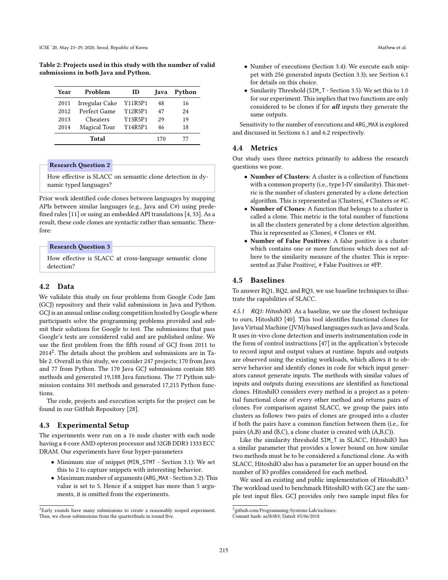Table 2: Projects used in this study with the number of valid submissions in both Java and Python.

| Year | Problem        | ID      | Java | Python |
|------|----------------|---------|------|--------|
| 2011 | Irregular Cake | Y11R5P1 | 48   | 16     |
| 2012 | Perfect Game   | Y12R5P1 | 47   | 24     |
| 2013 | Cheaters       | Y13R5P1 | 29   | 19     |
| 2014 | Magical Tour   | Y14R5P1 | 46   | 18     |
|      | Total          |         | 170  |        |

# Research Question 2

How effective is SLACC on semantic clone detection in dynamic typed languages?

Prior work identified code clones between languages by mapping APIs between similar languages (e.g., Java and C#) using prede fined rules [11] or using an embedded API translations [4, 33]. As a result, these code clones are syntactic rather than semantic. Therefore:

## Research Question 3

How effective is SLACC at cross-language semantic clone detection?

# 4.2 Data

We validate this study on four problems from Google Code Jam (GCJ) repository and their valid submissions in Java and Python. GCJ is an annual online coding competition hosted by Google where participants solve the programming problems provided and submit their solutions for Google to test. The submissions that pass Google's tests are considered valid and are published online. We use the first problem from the fifth round of GCJ from 2011 to 2014<sup>2</sup> . The details about the problem and submissions are in Table 2. Overall in this study, we consider 247 projects; 170 from Java and 77 from Python. The 170 Java GCJ submissions contain 885 methods and generated 19,188 Java functions. The 77 Python submission contains 301 methods and generated 17,215 Python functions.

The code, projects and execution scripts for the project can be found in our GitHub Repository [28].

## 4.3 Experimental Setup

The experiments were run on a 16 node cluster with each node having a 4-core AMD opteron processor and 32GB DDR3 1333 ECC DRAM. Our experiments have four hyper-parameters

- Minimum size of snippet (MIN\_STMT Section 3.1): We set this to 2 to capture snippets with interesting behavior.
- Maximum number of arguments (ARG\_MAX Section 3.2): This value is set to 5. Hence if a snippet has more than 5 arguments, it is omitted from the experiments.
- Number of executions (Section 3.4): We execute each snippet with 256 generated inputs (Section 3.3); see Section 6.1 for details on this choice.
- Similarity Threshold (SIM\_T Section 3.5): We set this to 1.0 for our experiment. This implies that two functions are only considered to be clones if for all inputs they generate the same outputs.

Sensitivity to the number of executions and ARG\_MAX is explored and discussed in Sections 6.1 and 6.2 respectively.

## 4.4 Metrics

Our study uses three metrics primarily to address the research questions we pose.

- Number of Clusters: A cluster is a collection of functions with a common property (i.e., type I-IV similarity). This metric is the number of clusters generated by a clone detection algorithm. This is represented as |Clusters|, # Clusters or #C.
- Number of Clones: A function that belongs to a cluster is called a clone. This metric is the total number of functions in all the clusters generated by a clone detection algorithm. This is represented as |Clones|, # Clones or #M.
- Number of False Positives: A false positive is a cluster which contains one or more functions which does not adhere to the similarity measure of the cluster. This is represented as |False Positive|, # False Positives or #FP.

## 4.5 Baselines

To answer RQ1, RQ2, and RQ3, we use baseline techniques to illustrate the capabilities of SLACC.

*4.5.1 RQ1: HitoshiIO.* As a baseline, we use the closest technique to ours, HitoshiIO [40]. This tool identifies functional clones for Java Virtual Machine (JVM) based languages such as Java and Scala. It uses in-vivo clone detection and inserts instrumentation code in the form of control instructions [47] in the application's bytecode to record input and output values at runtime. Inputs and outputs are observed using the existing workloads, which allows it to observe behavior and identify clones in code for which input generators cannot generate inputs. The methods with similar values of inputs and outputs during executions are identified as functional clones. HitoshiIO considers every method in a project as a potential functional clone of every other method and returns pairs of clones. For comparison against SLACC, we group the pairs into clusters as follows: two pairs of clones are grouped into a cluster if both the pairs have a common function between them (i.e., for pairs (A,B) and (B,C), a clone cluster is created with (A,B,C)).

Like the similarity threshold SIM\_T in SLACC, HitoshiIO has a similar parameter that provides a lower bound on how similar two methods must be to be considered a functional clone. As with SLACC, HitoshiIO also has a parameter for an upper bound on the number of IO profiles considered for each method.

We used an existing and public implementation of HitoshiIO.<sup>3</sup> The workload used to benchmark HitoshiIO with GCJ are the sample test input files. GCJ provides only two sample input files for

<sup>&</sup>lt;sup>2</sup>Early rounds have many submissions to create a reasonably scoped experiment. Thus, we chose submissions from the quarterfinals in round five.

<sup>3</sup> [github.com/Programming-Systems-Lab/ioclones;](https://github.com/Programming-Systems-Lab/ioclones)

Commit hash: [aa5b5b3;](https://github.com/Programming-Systems-Lab/ioclones/tree/aa5b5b3ed7fe311564ba1508b1b22fb47ccc2979) Dated: 05/06/2018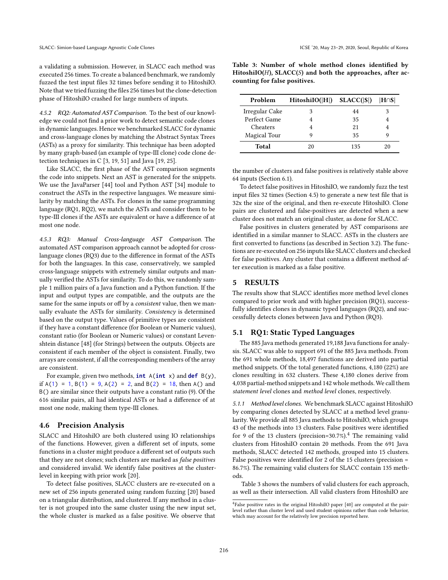a validating a submission. However, in SLACC each method was executed 256 times. To create a balanced benchmark, we randomly fuzzed the test input files 32 times before sending it to HitoshiIO. Note that we tried fuzzing the files 256 times but the clone-detection phase of HitoshiIO crashed for large numbers of inputs.

*4.5.2 RQ2: Automated AST Comparison.* To the best of our knowledge we could not find a prior work to detect semantic code clones in dynamic languages. Hence we benchmarked SLACC for dynamic and cross-language clones by matching the Abstract Syntax Trees (ASTs) as a proxy for similarity. This technique has been adopted by many graph-based (an example of type-III clone) code clone detection techniques in C [3, 19, 51] and Java [19, 25].

Like SLACC, the first phase of the AST comparison segments the code into snippets. Next an AST is generated for the snippets. We use the JavaParser [44] tool and Python AST [34] module to construct the ASTs in the respective languages. We measure similarity by matching the ASTs. For clones in the same programming language (RQ1, RQ2), we match the ASTs and consider them to be type-III clones if the ASTs are equivalent or have a difference of at most one node.

*4.5.3 RQ3: Manual Cross-language AST Comparison.* The automated AST comparison approach cannot be adopted for crosslanguage clones (RQ3) due to the difference in format of the ASTs for both the languages. In this case, conservatively, we sampled cross-language snippets with extremely similar outputs and manually verified the ASTs for similarity. To do this, we randomly sample 1 million pairs of a Java function and a Python function. If the input and output types are compatible, and the outputs are the same for the same inputs or off by a *consistent* value, then we manually evaluate the ASTs for similarity. *Consistency* is determined based on the output type. Values of primitive types are consistent if they have a constant difference (for Boolean or Numeric values), constant ratio (for Boolean or Numeric values) or constant Levenshtein distance [48] (for Strings) between the outputs. Objects are consistent if each member of the object is consistent. Finally, two arrays are consistent, if all the corresponding members of the array are consistent.

For example, given two methods, **int** A(**int** x) and **def** B(y), if  $A(1) = 1$ ,  $B(1) = 9$ ,  $A(2) = 2$ , and  $B(2) = 18$ , then A() and B() are similar since their outputs have a constant ratio (9). Of the 616 similar pairs, all had identical ASTs or had a difference of at most one node, making them type-III clones.

## 4.6 Precision Analysis

SLACC and HitoshiIO are both clustered using IO relationships of the functions. However, given a different set of inputs, some functions in a cluster might produce a different set of outputs such that they are not clones; such clusters are marked as *false positives* and considered invalid. We identify false positives at the clusterlevel in keeping with prior work [20].

To detect false positives, SLACC clusters are re-executed on a new set of 256 inputs generated using random fuzzing [20] based on a triangular distribution, and clustered. If any method in a cluster is not grouped into the same cluster using the new input set, the whole cluster is marked as a false positive. We observe that

Table 3: Number of whole method clones identified by HitoshiIO( $H$ ), SLACC( $S$ ) and both the approaches, after accounting for false positives.

| Problem         | HitoshIO( H ) | SLACC( S ) | $ H \cap S $ |
|-----------------|---------------|------------|--------------|
| Irregular Cake  |               | 44         |              |
| Perfect Game    |               | 35         |              |
| <b>Cheaters</b> |               | 21         |              |
| Magical Tour    |               | 35         |              |
| Total           |               | 135        | 20           |

the number of clusters and false positives is relatively stable above 64 inputs (Section 6.1).

To detect false positives in HitoshiIO, we randomly fuzz the test input files 32 times (Section 4.5) to generate a new test file that is 32x the size of the original, and then re-execute HitoshiIO. Clone pairs are clustered and false-positives are detected when a new cluster does not match an original cluster, as done for SLACC.

False positives in clusters generated by AST comparisons are identified in a similar manner to SLACC. ASTs in the clusters are first converted to functions (as described in Section 3.2). The functions are re-executed on 256 inputs like SLACC clusters and checked for false positives. Any cluster that contains a different method after execution is marked as a false positive.

## 5 RESULTS

The results show that SLACC identifies more method level clones compared to prior work and with higher precision (RQ1), successfully identifies clones in dynamic typed languages (RQ2), and successfully detects clones between Java and Python (RQ3).

## 5.1 RQ1: Static Typed Languages

The 885 Java methods generated 19,188 Java functions for analysis. SLACC was able to support 691 of the 885 Java methods. From the 691 whole methods, 18,497 functions are derived into partial method snippets. Of the total generated functions, 4,180 (22%) are clones resulting in 632 clusters. These 4,180 clones derive from 4,038 partial-method snippets and 142 whole methods. We call them *statement level* clones and *method level* clones, respectively.

*5.1.1 Method level clones.* We benchmark SLACC against HitoshiIO by comparing clones detected by SLACC at a method level granularity. We provide all 885 Java methods to HitoshiIO, which groups 43 of the methods into 13 clusters. False positives were identified for 9 of the 13 clusters (precision=30.7%).<sup>4</sup> The remaining valid clusters from HitoshiIO contain 20 methods. From the 691 Java methods, SLACC detected 142 methods, grouped into 15 clusters. False positives were identified for 2 of the 15 clusters (precision  $=$ 86.7%). The remaining valid clusters for SLACC contain 135 methods.

Table 3 shows the numbers of valid clusters for each approach, as well as their intersection. All valid clusters from HitoshiIO are

<sup>4</sup> False positive rates in the original HitoshiIO paper [40] are computed at the pairlevel rather than cluster level and used student opinions rather than code behavior, which may account for the relatively low precision reported here.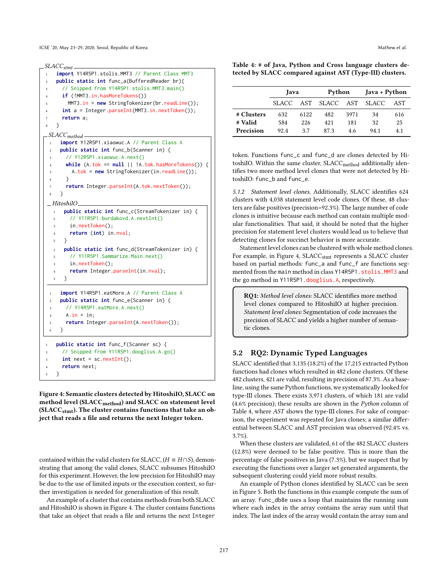ICSE '20, May 23-29, 2020, Seoul, Republic of Korea Mathew et al. and Security Assemblance of Mathew et al. and Mathew et al.

*SLACCstmt*

```
1 import Y14R5P1.stolis.MMT3 // Parent Class MMT3
2 public static int func_a(BufferedReader br){
3 // Snipped from Y14R5P1.stolis.MMT3.main()
     if (!MMT3.in.hasMoreTokens())
       MMT3.in = new StringTokenizer(br.readLine());
      int a = Integer.parseInt(MMT3.in.nextToken());
      return a;
   8 }
SLACCmethod
 1 import Y12R5P1.xiaowuc.A // Parent Class A
 2 public static int func_b(Scanner in) {
       3 // Y12R5P1.xiaowuc.A.next()
       while (A. tok == null || !A.tok.hasMoreTokens()) { }5 A.tok = new StringTokenizer(in.readLine());
       \mathcal{E}7 return Integer.parseInt(A.tok.nextToken());
 8 }
  HitoshiIO
  1 public static int func_c(StreamTokenizer in) {
  2 // Y11R5P1.burdakovd.A.nextInt()
        in.nextToken();
        4 return (int) in.nval;
  5 }
      1 public static int func_d(StreamTokenizer in) {
  2 // Y11R5P1.Sammarize.Main.next()
        in.nextToken();
  4 return Integer.parseInt(in.nval);
  5 }
     1 import Y14R5P1.eatMore.A // Parent Class A
 2 public static int func_e(Scanner in) {
 3 // Y14R5P1.eatMore.A.next()
 4 A. in = in:
       5 return Integer.parseInt(A.nextToken());
     6 }
1 public static int func_f(Scanner sc) {
2 // Snipped from Y11R5P1.dooglius.A.go()
     int next = sc.nextInt();
4 return next;
5 }
```
Figure 4: Semantic clusters detected by HitoshiIO, SLACC on method level (SLACC<sub>method</sub>) and SLACC on statement level ( $SLACC<sub>stmt</sub>$ ). The cluster contains functions that take an object that reads a file and returns the next Integer token.

contained within the valid clusters for SLACC, ( $H \equiv H \cap S$ ), demonstrating that among the valid clones, SLACC subsumes HitoshiIO for this experiment. However, the low precision for HitoshiIO may be due to the use of limited inputs or the execution context, so further investigation is needed for generalization of this result.

An example of a cluster that contains methods from both SLACC and HitoshiIO is shown in Figure 4. The cluster contains functions that take an object that reads a file and returns the next Integer

|  | Table 4: # of Java, Python and Cross language clusters de- |  |  |  |
|--|------------------------------------------------------------|--|--|--|
|  | tected by SLACC compared against AST (Type-III) clusters.  |  |  |  |

|            | Java    |      |                     | Python |      | Java + Python |  |
|------------|---------|------|---------------------|--------|------|---------------|--|
|            | SLACC - |      | AST SLACC AST SLACC |        |      | AST           |  |
| # Clusters | 632.    | 6122 | 482                 | 3971   | 34   | 616           |  |
| # Valid    | 584     | 226  | 421                 | 181    | 32   | 25            |  |
| Precision  | 92.4    | 37   | 87.3                | 4.6    | 94.1 | 4.1           |  |

token. Functions func\_c and func\_d are clones detected by HitoshiIO. Within the same cluster, SLACC<sub>method</sub> additionally identifies two more method level clones that were not detected by HitoshiIO: func\_b and func\_e.

5.1.2 Statement level clones. Additionally, SLACC identifies 624 clusters with 4,038 statement level code clones. Of these, 48 clusters are false positives (precision=92.3%). The large number of code clones is intuitive because each method can contain multiple modular functionalities. That said, it should be noted that the higher precision for statement level clusters would lead us to believe that detecting clones for succinct behavior is more accurate.

Statement level clones can be clustered with whole method clones. For example, in Figure 4, SLACC<sub>stmt</sub> represents a SLACC cluster based on partial methods: func\_a and func\_f are functions segmented from the main method in class Y14R5P1.stolis.MMT3 and the go method in Y11R5P1.dooglius.A, respectively.

RO1: Method level clones: SLACC identifies more method level clones compared to HitoshiIO at higher precision. *Statement level clones:* Segmentation of code increases the precision of SLACC and yields a higher number of semantic clones.

## 5.2 RQ2: Dynamic Typed Languages

SLACC identified that 3,135 (18.2%) of the 17,215 extracted Python functions had clones which resulted in 482 clone clusters. Of these 482 clusters, 421 are valid, resulting in precision of 87.3%. As a baseline, using the same Python functions, we systematically looked for type-III clones. There exists 3,971 clusters, of which 181 are valid (4.6% precision); these results are shown in the *Python* column of Table 4, where *AST* shows the type-III clones. For sake of comparison, the experiment was repeated for Java clones; a similar differential between SLACC and AST precision was observed (92.4% vs. 3.7%).

When these clusters are validated, 61 of the 482 SLACC clusters (12.8%) were deemed to be false positive. This is more than the percentage of false positives in Java (7.3%), but we suspect that by executing the functions over a larger set generated arguments, the subsequent clustering could yield more robust results.

An example of Python clones identified by SLACC can be seen in Figure 5. Both the functions in this example compute the sum of an array. func\_db8e uses a loop that maintains the running sum where each index in the array contains the array sum until that index. The last index of the array would contain the array sum and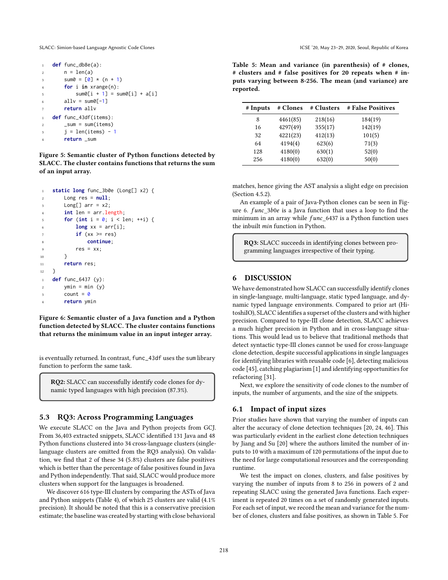SLACC: Simion-based Language Agnostic Code Clones **ICSE** '20, May 23-29, 2020, Seoul, Republic of Korea

```
1 def func_db8e(a):
2 \qquad n = len(a)3 sum0 = [0] * (n + 1)4 for i in xrange(n):
5 sum0[i + 1] = sum0[i] + a[i]6 allv = sum0[-1]7 return allv
   def func_43df(items):
2 \quad \text{sum} = \text{sum}(items)i = len(items) - 14 return _sum
```
Figure 5: Semantic cluster of Python functions detected by SLACC. The cluster contains functions that returns the sum of an input array.

```
1 static long func_3b0e (Long[] x2) {
2 Long res = null;
3 Long[] arr = x2;
4 int len = arr.length;
5 for (int i = 0; i < 1en; +i) {
6 long xx = arr[i];\mathbf{i} if (xx >= res)
8 continue;
         res = xx;10 }
11 return res;
12 }
1 def func_6437 (y):
2 vmin = min (v)3 count = \theta4 return ymin
```
Figure 6: Semantic cluster of a Java function and a Python function detected by SLACC. The cluster contains functions that returns the minimum value in an input integer array.

is eventually returned. In contrast, func\_43df uses the sum library function to perform the same task.

RQ2: SLACC can successfully identify code clones for dynamic typed languages with high precision (87.3%).

## 5.3 RQ3: Across Programming Languages

We execute SLACC on the Java and Python projects from GCJ. From 36,403 extracted snippets, SLACC identified 131 Java and 48 Python functions clustered into 34 cross-language clusters (singlelanguage clusters are omitted from the RQ3 analysis). On validation, we find that 2 of these 34 (5.8%) clusters are false positives which is better than the percentage of false positives found in Java and Python independently. That said, SLACC would produce more clusters when support for the languages is broadened.

We discover 616 type-III clusters by comparing the ASTs of Java and Python snippets (Table 4), of which 25 clusters are valid (4.1% precision). It should be noted that this is a conservative precision estimate; the baseline was created by starting with close behavioral Table 5: Mean and variance (in parenthesis) of # clones, # clusters and # false positives for 20 repeats when # inputs varying between 8-256. The mean (and variance) are reported.

| # Inputs | # Clones | # Clusters | # False Positives |
|----------|----------|------------|-------------------|
| 8        | 4461(85) | 218(16)    | 184(19)           |
| 16       | 4297(49) | 355(17)    | 142(19)           |
| 32       | 4221(23) | 412(13)    | 101(5)            |
| 64       | 4194(4)  | 623(6)     | 71(3)             |
| 128      | 4180(0)  | 630(1)     | 52(0)             |
| 256      | 4180(0)  | 632(0)     | 50(0)             |

matches, hence giving the AST analysis a slight edge on precision (Section 4.5.2).

An example of a pair of Java-Python clones can be seen in Figure 6.  $func_3b0e$  is a Java function that uses a loop to find the minimum in an array while  $func_6437$  is a Python function uses the inbuilt min function in Python.

RQ3: SLACC succeeds in identifying clones between programming languages irrespective of their typing.

## 6 DISCUSSION

We have demonstrated how SLACC can successfully identify clones in single-language, multi-language, static typed language, and dynamic typed language environments. Compared to prior art (HitoshiIO), SLACC identifies a superset of the clusters and with higher precision. Compared to type-III clone detection, SLACC achieves a much higher precision in Python and in cross-language situations. This would lead us to believe that traditional methods that detect syntactic type-III clones cannot be used for cross-language clone detection, despite successful applications in single languages for identifying libraries with reusable code [6], detecting malicious code [45], catching plagiarism [1] and identifying opportunities for refactoring [31].

Next, we explore the sensitivity of code clones to the number of inputs, the number of arguments, and the size of the snippets.

## 6.1 Impact of input sizes

Prior studies have shown that varying the number of inputs can alter the accuracy of clone detection techniques [20, 24, 46]. This was particularly evident in the earliest clone detection techniques by Jiang and Su [20] where the authors limited the number of inputs to 10 with a maximum of 120 permutations of the input due to the need for large computational resources and the corresponding runtime.

We test the impact on clones, clusters, and false positives by varying the number of inputs from 8 to 256 in powers of 2 and repeating SLACC using the generated Java functions. Each experiment is repeated 20 times on a set of randomly generated inputs. For each set of input, we record the mean and variance for the number of clones, clusters and false positives, as shown in Table 5. For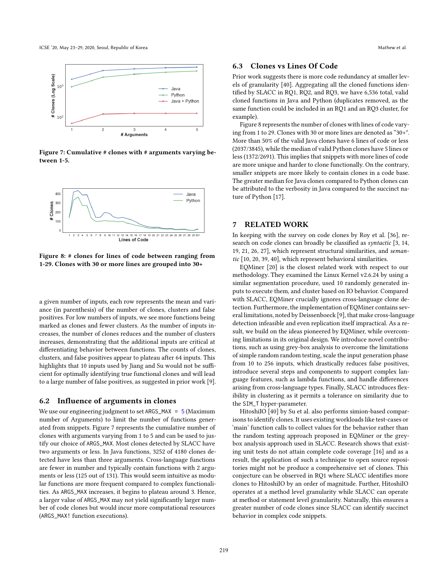

Figure 7: Cumulative # clones with # arguments varying between 1-5.



Figure 8: # clones for lines of code between ranging from 1-29. Clones with 30 or more lines are grouped into 30+

a given number of inputs, each row represents the mean and variance (in parenthesis) of the number of clones, clusters and false positives. For low numbers of inputs, we see more functions being marked as clones and fewer clusters. As the number of inputs increases, the number of clones reduces and the number of clusters increases, demonstrating that the additional inputs are critical at differentiating behavior between functions. The counts of clones, clusters, and false positives appear to plateau after 64 inputs. This highlights that 10 inputs used by Jiang and Su would not be sufficient for optimally identifying true functional clones and will lead to a large number of false positives, as suggested in prior work [9].

#### 6.2 Influence of arguments in clones

We use our engineering judgment to set ARGS\_MAX =  $5$  (Maximum number of Arguments) to limit the number of functions generated from snippets. Figure 7 represents the cumulative number of clones with arguments varying from 1 to 5 and can be used to justify our choice of ARGS\_MAX. Most clones detected by SLACC have two arguments or less. In Java functions, 3252 of 4180 clones detected have less than three arguments. Cross-language functions are fewer in number and typically contain functions with 2 arguments or less (125 out of 131). This would seem intuitive as modular functions are more frequent compared to complex functionalities. As ARGS\_MAX increases, it begins to plateau around 3. Hence, a larger value of ARGS\_MAX may not yield significantly larger number of code clones but would incur more computational resources (ARGS\_MAX! function executions).

## 6.3 Clones vs Lines Of Code

Prior work suggests there is more code redundancy at smaller levels of granularity [40]. Aggregating all the cloned functions identified by SLACC in RQ1, RQ2, and RQ3, we have 6,536 total, valid cloned functions in Java and Python (duplicates removed, as the same function could be included in an RQ1 and an RQ3 cluster, for example).

Figure 8 represents the number of clones with lines of code varying from 1 to 29. Clones with 30 or more lines are denoted as "30+". More than 50% of the valid Java clones have 6 lines of code or less (2037/3845), while the median of valid Python clones have 5 lines or less (1372/2691). This implies that snippets with more lines of code are more unique and harder to clone functionally. On the contrary, smaller snippets are more likely to contain clones in a code base. The greater median for Java clones compared to Python clones can be attributed to the verbosity in Java compared to the succinct nature of Python [17].

#### 7 RELATED WORK

In keeping with the survey on code clones by Roy et al. [36], research on code clones can broadly be classified as *syntactic* [3, 14, 19, 21, 26, 27], which represent structural similarities, and *semantic* [10, 20, 39, 40], which represent behavioral similarities.

EQMiner [20] is the closest related work with respect to our methodology. They examined the Linux Kernel v2.6.24 by using a similar segmentation procedure, used 10 randomly generated inputs to execute them, and cluster based on IO behavior. Compared with SLACC, EQMiner crucially ignores cross-language clone detection. Furthermore, the implementation of EQMiner contains several limitations, noted by Deissenboeck [9], that make cross-language detection infeasible and even replication itself impractical. As a result, we build on the ideas pioneered by EQMiner, while overcoming limitations in its original design. We introduce novel contributions, such as using grey-box analysis to overcome the limitations of simple random random testing, scale the input generation phase from 10 to 256 inputs, which drastically reduces false positives, introduce several steps and components to support complex language features, such as lambda functions, and handle differences arising from cross-language types. Finally, SLACC introduces flexibility in clustering as it permits a tolerance on similarity due to the SIM\_T hyper-parameter.

HitoshiIO [40] by Su et al. also performs simion-based comparisons to identify clones. It uses existing workloads like test-cases or 'main' function calls to collect values for the behavior rather than the random testing approach proposed in EQMiner or the greybox analysis approach used in SLACC. Research shows that existing unit tests do not attain complete code coverage [16] and as a result, the application of such a technique to open source repositories might not be produce a comprehensive set of clones. This conjecture can be observed in RQ1 where SLACC identifies more clones to HitoshiIO by an order of magnitude. Further, HitoshiIO operates at a method level granularity while SLACC can operate at method or statement level granularity. Naturally, this ensures a greater number of code clones since SLACC can identify succinct behavior in complex code snippets.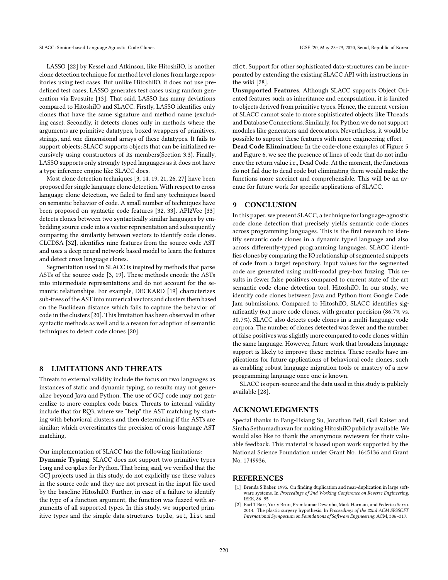LASSO [22] by Kessel and Atkinson, like HitoshiIO, is another clone detection technique for method level clones from large repositories using test cases. But unlike HitoshiIO, it does not use predefined test cases; LASSO generates test cases using random generation via Evosuite [13]. That said, LASSO has many deviations compared to HitoshiIO and SLACC. Firstly, LASSO identifies only clones that have the same signature and method name (excluding case). Secondly, it detects clones only in methods where the arguments are primitive datatypes, boxed wrappers of primitives, strings, and one dimensional arrays of these datatypes. It fails to support objects; SLACC supports objects that can be initialized recursively using constructors of its members(Section 3.3). Finally, LASSO supports only strongly typed languages as it does not have a type inference engine like SLACC does.

Most clone detection techniques [3, 14, 19, 21, 26, 27] have been proposed for single language clone detection. With respect to cross language clone detection, we failed to find any techniques based on semantic behavior of code. A small number of techniques have been proposed on syntactic code features [32, 33]. API2Vec [33] detects clones between two syntactically similar languages by embedding source code into a vector representation and subsequently comparing the similarity between vectors to identify code clones. CLCDSA [32], identifies nine features from the source code AST and uses a deep neural network based model to learn the features and detect cross language clones.

Segmentation used in SLACC is inspired by methods that parse ASTs of the source code [3, 19]. These methods encode the ASTs into intermediate representations and do not account for the semantic relationships. For example, DECKARD [19] characterizes sub-trees of the AST into numerical vectors and clusters them based on the Euclidean distance which fails to capture the behavior of code in the clusters [20]. This limitation has been observed in other syntactic methods as well and is a reason for adoption of semantic techniques to detect code clones [20].

## 8 LIMITATIONS AND THREATS

Threats to external validity include the focus on two languages as instances of static and dynamic typing, so results may not generalize beyond Java and Python. The use of GCJ code may not generalize to more complex code bases. Threats to internal validity include that for RQ3, where we "help" the AST matching by starting with behavioral clusters and then determining if the ASTs are similar; which overestimates the precision of cross-language AST matching.

Our implementation of SLACC has the following limitations:

Dynamic Typing. SLACC does not support two primitive types long and complex for Python. That being said, we verified that the GCJ projects used in this study, do not explicitly use these values in the source code and they are not present in the input file used by the baseline HitoshiIO. Further, in case of a failure to identify the type of a function argument, the function was fuzzed with arguments of all supported types. In this study, we supported primitive types and the simple data-structures tuple, set, list and

dict. Support for other sophisticated data-structures can be incorporated by extending the existing SLACC API with instructions in the wiki [28].

Unsupported Features. Although SLACC supports Object Oriented features such as inheritance and encapsulation, it is limited to objects derived from primitive types. Hence, the current version of SLACC cannot scale to more sophisticated objects like Threads and Database Connections. Similarly, for Python we do not support modules like generators and decorators. Nevertheless, it would be possible to support these features with more engineering effort.

Dead Code Elimination: In the code-clone examples of Figure 5 and Figure 6, we see the presence of lines of code that do not influence the return value i.e., Dead Code. At the moment, the functions do not fail due to dead code but eliminating them would make the functions more succinct and comprehensible. This will be an avenue for future work for specific applications of SLACC.

## 9 CONCLUSION

In this paper, we present SLACC, a technique for language-agnostic code clone detection that precisely yields semantic code clones across programming languages. This is the first research to identify semantic code clones in a dynamic typed language and also across differently-typed programming languages. SLACC identifies clones by comparing the IO relationship of segmented snippets of code from a target repository. Input values for the segmented code are generated using multi-modal grey-box fuzzing. This results in fewer false positives compared to current state of the art semantic code clone detection tool, HitoshiIO. In our study, we identify code clones between Java and Python from Google Code Jam submissions. Compared to HitoshiIO, SLACC identifies significantly  $(6x)$  more code clones, with greater precision  $(86.7\% \text{ vs.})$ 30.7%). SLACC also detects code clones in a multi-language code corpora. The number of clones detected was fewer and the number of false positives was slightly more compared to code clones within the same language. However, future work that broadens language support is likely to improve these metrics. These results have implications for future applications of behavioral code clones, such as enabling robust language migration tools or mastery of a new programming language once one is known.

SLACC is open-source and the data used in this study is publicly available [28].

## ACKNOWLEDGMENTS

Special thanks to Fang-Hsiang Su, Jonathan Bell, Gail Kaiser and Simha Sethumadhavan for making HitoshiIO publicly available. We would also like to thank the anonymous reviewers for their valuable feedback. This material is based upon work supported by the National Science Foundation under Grant No. [1645136](https://www.nsf.gov/awardsearch/showAward?AWD_ID=1645136) and Grant No. [1749936.](https://www.nsf.gov/awardsearch/showAward?AWD_ID=1749936)

## REFERENCES

- [1] Brenda S Baker. 1995. On finding duplication and near-duplication in large software systems. In *Proceedings of 2nd Working Conference on Reverse Engineering*. IEEE, 86–95.
- [2] Earl T Barr, Yuriy Brun, Premkumar Devanbu, Mark Harman, and Federica Sarro. 2014. The plastic surgery hypothesis. In *Proceedings of the 22nd ACM SIGSOFT International Symposium on Foundations of Software Engineering*. ACM, 306–317.